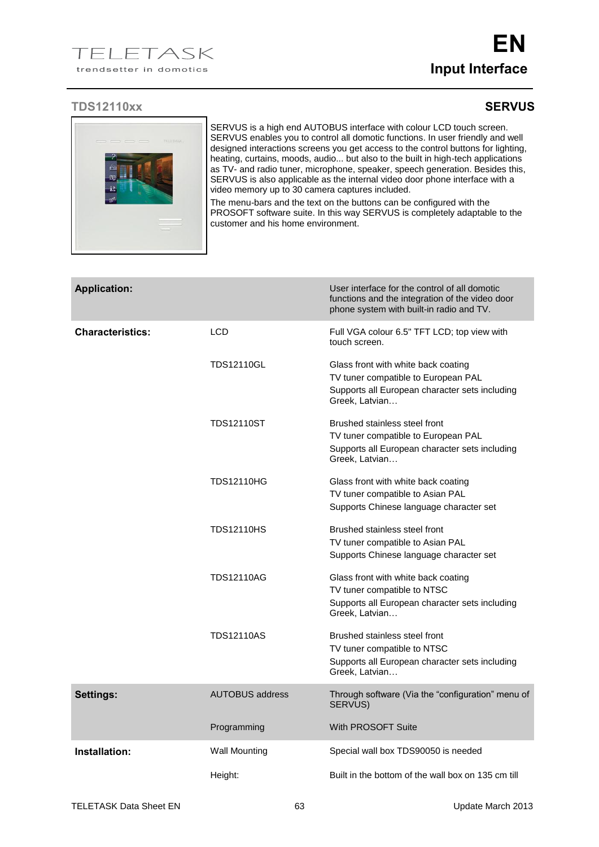## **TDS12110xx SERVUS**



SERVUS is a high end AUTOBUS interface with colour LCD touch screen. SERVUS enables you to control all domotic functions. In user friendly and well designed interactions screens you get access to the control buttons for lighting, heating, curtains, moods, audio... but also to the built in high-tech applications as TV- and radio tuner, microphone, speaker, speech generation. Besides this, SERVUS is also applicable as the internal video door phone interface with a video memory up to 30 camera captures included.

The menu-bars and the text on the buttons can be configured with the PROSOFT software suite. In this way SERVUS is completely adaptable to the customer and his home environment.

| <b>Application:</b>     |                        | User interface for the control of all domotic<br>functions and the integration of the video door<br>phone system with built-in radio and TV.   |
|-------------------------|------------------------|------------------------------------------------------------------------------------------------------------------------------------------------|
| <b>Characteristics:</b> | <b>LCD</b>             | Full VGA colour 6.5" TFT LCD; top view with<br>touch screen.                                                                                   |
|                         | <b>TDS12110GL</b>      | Glass front with white back coating<br>TV tuner compatible to European PAL<br>Supports all European character sets including<br>Greek, Latvian |
|                         | <b>TDS12110ST</b>      | Brushed stainless steel front<br>TV tuner compatible to European PAL<br>Supports all European character sets including<br>Greek, Latvian       |
|                         | <b>TDS12110HG</b>      | Glass front with white back coating<br>TV tuner compatible to Asian PAL<br>Supports Chinese language character set                             |
|                         | <b>TDS12110HS</b>      | Brushed stainless steel front<br>TV tuner compatible to Asian PAL<br>Supports Chinese language character set                                   |
|                         | <b>TDS12110AG</b>      | Glass front with white back coating<br>TV tuner compatible to NTSC<br>Supports all European character sets including<br>Greek, Latvian         |
|                         | <b>TDS12110AS</b>      | Brushed stainless steel front<br>TV tuner compatible to NTSC<br>Supports all European character sets including<br>Greek, Latvian               |
| Settings:               | <b>AUTOBUS address</b> | Through software (Via the "configuration" menu of<br>SERVUS)                                                                                   |
|                         | Programming            | <b>With PROSOFT Suite</b>                                                                                                                      |
| Installation:           | <b>Wall Mounting</b>   | Special wall box TDS90050 is needed                                                                                                            |
|                         | Height:                | Built in the bottom of the wall box on 135 cm till                                                                                             |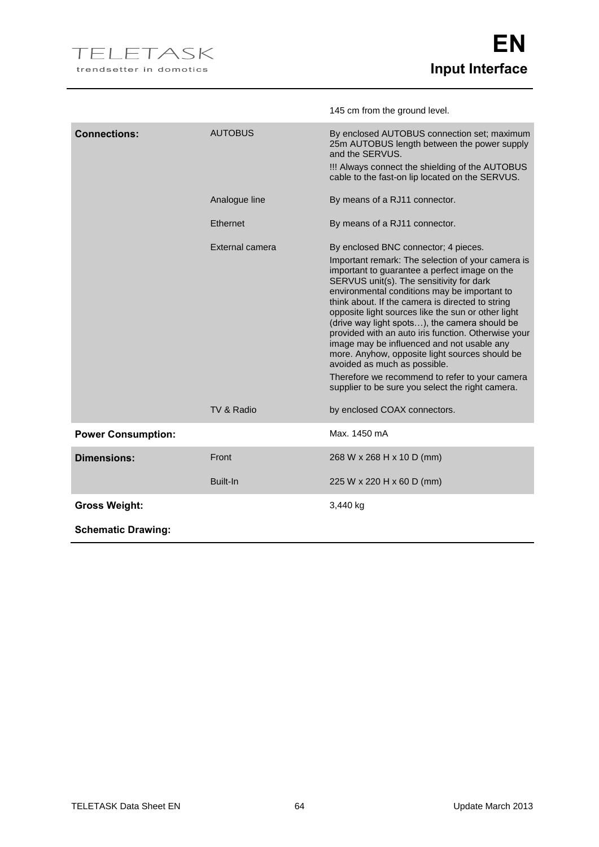|                           |                               | 145 cm from the ground level.                                                                                                                                                                                                                                                                                                                                                                                                                                                                                                                                                                                                                                                                                                  |
|---------------------------|-------------------------------|--------------------------------------------------------------------------------------------------------------------------------------------------------------------------------------------------------------------------------------------------------------------------------------------------------------------------------------------------------------------------------------------------------------------------------------------------------------------------------------------------------------------------------------------------------------------------------------------------------------------------------------------------------------------------------------------------------------------------------|
| <b>Connections:</b>       | <b>AUTOBUS</b>                | By enclosed AUTOBUS connection set; maximum<br>25m AUTOBUS length between the power supply<br>and the SERVUS.<br>!!! Always connect the shielding of the AUTOBUS<br>cable to the fast-on lip located on the SERVUS.                                                                                                                                                                                                                                                                                                                                                                                                                                                                                                            |
|                           | Analogue line                 | By means of a RJ11 connector.                                                                                                                                                                                                                                                                                                                                                                                                                                                                                                                                                                                                                                                                                                  |
|                           | Ethernet                      | By means of a RJ11 connector.                                                                                                                                                                                                                                                                                                                                                                                                                                                                                                                                                                                                                                                                                                  |
|                           | External camera<br>TV & Radio | By enclosed BNC connector; 4 pieces.<br>Important remark: The selection of your camera is<br>important to guarantee a perfect image on the<br>SERVUS unit(s). The sensitivity for dark<br>environmental conditions may be important to<br>think about. If the camera is directed to string<br>opposite light sources like the sun or other light<br>(drive way light spots), the camera should be<br>provided with an auto iris function. Otherwise your<br>image may be influenced and not usable any<br>more. Anyhow, opposite light sources should be<br>avoided as much as possible.<br>Therefore we recommend to refer to your camera<br>supplier to be sure you select the right camera.<br>by enclosed COAX connectors. |
| <b>Power Consumption:</b> |                               | Max. 1450 mA                                                                                                                                                                                                                                                                                                                                                                                                                                                                                                                                                                                                                                                                                                                   |
| <b>Dimensions:</b>        | Front                         | 268 W x 268 H x 10 D (mm)                                                                                                                                                                                                                                                                                                                                                                                                                                                                                                                                                                                                                                                                                                      |
|                           | Built-In                      | 225 W x 220 H x 60 D (mm)                                                                                                                                                                                                                                                                                                                                                                                                                                                                                                                                                                                                                                                                                                      |
| <b>Gross Weight:</b>      |                               | 3,440 kg                                                                                                                                                                                                                                                                                                                                                                                                                                                                                                                                                                                                                                                                                                                       |
| <b>Schematic Drawing:</b> |                               |                                                                                                                                                                                                                                                                                                                                                                                                                                                                                                                                                                                                                                                                                                                                |